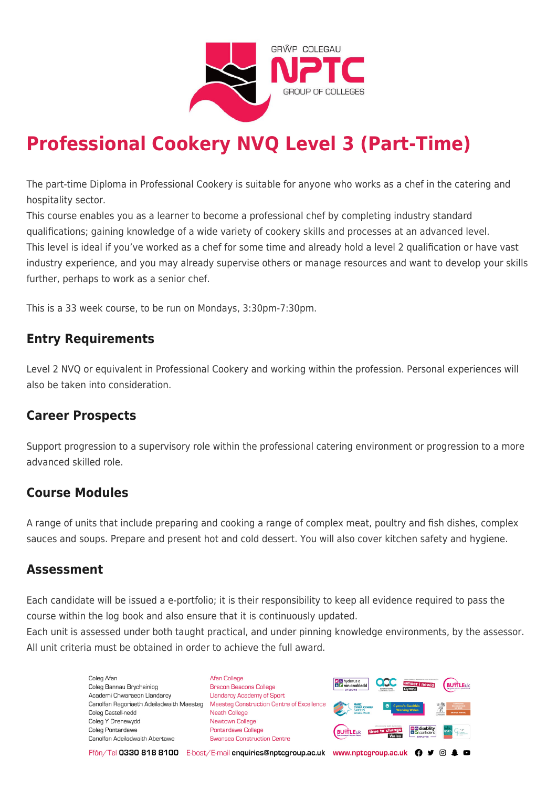

# **Professional Cookery NVQ Level 3 (Part-Time)**

The part-time Diploma in Professional Cookery is suitable for anyone who works as a chef in the catering and hospitality sector.

This course enables you as a learner to become a professional chef by completing industry standard qualifications; gaining knowledge of a wide variety of cookery skills and processes at an advanced level. This level is ideal if you've worked as a chef for some time and already hold a level 2 qualification or have vast industry experience, and you may already supervise others or manage resources and want to develop your skills further, perhaps to work as a senior chef.

This is a 33 week course, to be run on Mondays, 3:30pm-7:30pm.

### **Entry Requirements**

Level 2 NVQ or equivalent in Professional Cookery and working within the profession. Personal experiences will also be taken into consideration.

### **Career Prospects**

Support progression to a supervisory role within the professional catering environment or progression to a more advanced skilled role.

### **Course Modules**

A range of units that include preparing and cooking a range of complex meat, poultry and fish dishes, complex sauces and soups. Prepare and present hot and cold dessert. You will also cover kitchen safety and hygiene.

### **Assessment**

Each candidate will be issued a e-portfolio; it is their responsibility to keep all evidence required to pass the course within the log book and also ensure that it is continuously updated.

Each unit is assessed under both taught practical, and under pinning knowledge environments, by the assessor. All unit criteria must be obtained in order to achieve the full award.

> Coleg Afar Coleg Bannau Brycheiniog Academi Chwaraeon Llandarcy Canolfan Ragoriaeth Adeiladwaith Maesteg Coleg Castell-nedd Coleg Y Drenewydd Coleg Pontardawe Canolfan Adeiladwaith Abertawe

**Afan College** Brecon Beacons College **Llandarcy Academy of Sport** Maesteg Construction Centre of Excellence Neath College Newtown College Pontardawe College Swansea Construction Centre



Ffôn/Tel 0330 818 8100 E-bost/E-mail enquiries@nptcgroup.ac.uk www.nptcgroup.ac.uk ? • © \$